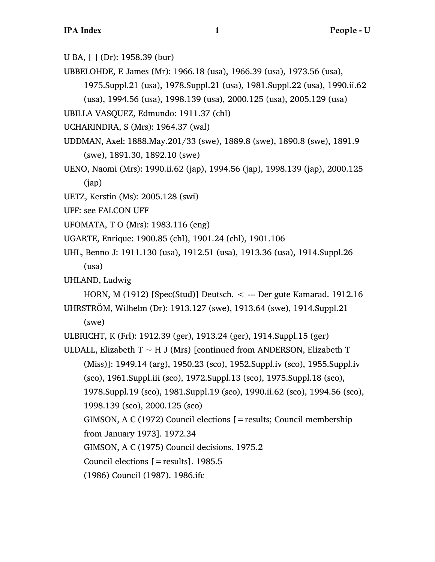- U BA, [ ] (Dr): 1958.39 (bur)
- UBBELOHDE, E James (Mr): 1966.18 (usa), 1966.39 (usa), 1973.56 (usa), 1975.Suppl.21 (usa), 1978.Suppl.21 (usa), 1981.Suppl.22 (usa), 1990.ii.62

(usa), 1994.56 (usa), 1998.139 (usa), 2000.125 (usa), 2005.129 (usa)

UBILLA VASQUEZ, Edmundo: 1911.37 (chl)

UCHARINDRA, S (Mrs): 1964.37 (wal)

- UDDMAN, Axel: 1888.May.201/33 (swe), 1889.8 (swe), 1890.8 (swe), 1891.9 (swe), 1891.30, 1892.10 (swe)
- UENO, Naomi (Mrs): 1990.ii.62 (jap), 1994.56 (jap), 1998.139 (jap), 2000.125 (jap)
- UETZ, Kerstin (Ms): 2005.128 (swi)
- UFF: see FALCON UFF
- UFOMATA, T O (Mrs): 1983.116 (eng)
- UGARTE, Enrique: 1900.85 (chl), 1901.24 (chl), 1901.106
- UHL, Benno J: 1911.130 (usa), 1912.51 (usa), 1913.36 (usa), 1914.Suppl.26 (usa)
- UHLAND, Ludwig

HORN, M  $(1912)$  [Spec(Stud)] Deutsch. < --- Der gute Kamarad. 1912.16

UHRSTRÖM, Wilhelm (Dr): 1913.127 (swe), 1913.64 (swe), 1914.Suppl.21 (swe)

ULBRICHT, K (Frl): 1912.39 (ger), 1913.24 (ger), 1914.Suppl.15 (ger)

ULDALL, Elizabeth  $T \sim H J$  (Mrs) [continued from ANDERSON, Elizabeth T (Miss)]: 1949.14 (arg), 1950.23 (sco), 1952.Suppl.iv (sco), 1955.Suppl.iv (sco), 1961.Suppl.iii (sco), 1972.Suppl.13 (sco), 1975.Suppl.18 (sco), 1978.Suppl.19 (sco), 1981.Suppl.19 (sco), 1990.ii.62 (sco), 1994.56 (sco), 1998.139 (sco), 2000.125 (sco) GIMSON, A C (1972) Council elections [=results; Council membership from January 1973]. 1972.34 GIMSON, A C (1975) Council decisions. 1975.2

Council elections [=results]. 1985.5

(1986) Council (1987). 1986.ifc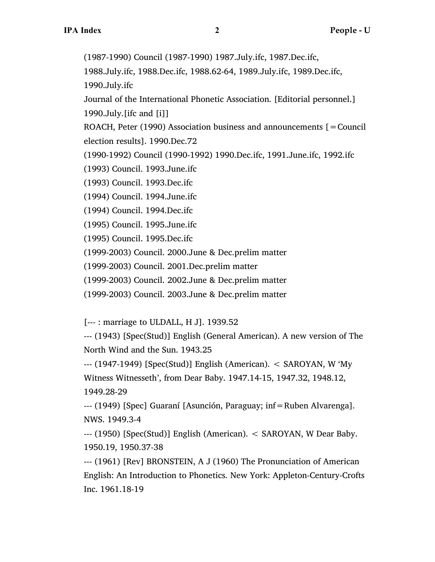(1987-1990) Council (1987-1990) 1987.July.ifc, 1987.Dec.ifc,

1988.July.ifc, 1988.Dec.ifc, 1988.62-64, 1989.July.ifc, 1989.Dec.ifc, 1990.July.ifc

Journal of the International Phonetic Association. [Editorial personnel.] 1990.July.[ifc and [i]]

ROACH, Peter (1990) Association business and announcements  $[=$  Council election results]. 1990.Dec.72

(1990-1992) Council (1990-1992) 1990.Dec.ifc, 1991.June.ifc, 1992.ifc

(1993) Council. 1993.June.ifc

(1993) Council. 1993.Dec.ifc

(1994) Council. 1994.June.ifc

(1994) Council. 1994.Dec.ifc

(1995) Council. 1995.June.ifc

(1995) Council. 1995.Dec.ifc

(1999-2003) Council. 2000.June & Dec.prelim matter

(1999-2003) Council. 2001.Dec.prelim matter

(1999-2003) Council. 2002.June & Dec.prelim matter

(1999-2003) Council. 2003.June & Dec.prelim matter

[--- : marriage to ULDALL, H J]. 1939.52

--- (1943) [Spec(Stud)] English (General American). A new version of The North Wind and the Sun. 1943.25

--- (1947-1949) [Spec(Stud)] English (American). < SAROYAN, W 'My Witness Witnesseth', from Dear Baby. 1947.14-15, 1947.32, 1948.12, 1949.28-29

--- (1949) [Spec] Guaraní [Asunción, Paraguay; inf=Ruben Alvarenga]. NWS. 1949.3-4

--- (1950) [Spec(Stud)] English (American). < SAROYAN, W Dear Baby. 1950.19, 1950.37-38

--- (1961) [Rev] BRONSTEIN, A J (1960) The Pronunciation of American English: An Introduction to Phonetics. New York: Appleton-Century-Crofts Inc. 1961.18-19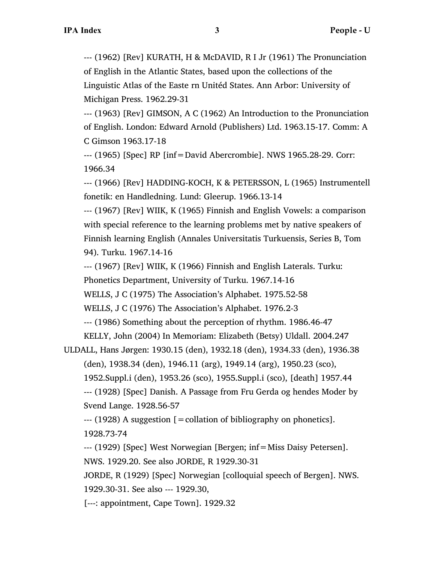--- (1962) [Rev] KURATH, H & McDAVID, R I Jr (1961) The Pronunciation of English in the Atlantic States, based upon the collections of the Linguistic Atlas of the Easte rn Unitéd States. Ann Arbor: University of Michigan Press. 1962.29-31

--- (1963) [Rev] GIMSON, A C (1962) An Introduction to the Pronunciation of English. London: Edward Arnold (Publishers) Ltd. 1963.15-17. Comm: A C Gimson 1963.17-18

--- (1965) [Spec] RP [inf=David Abercrombie]. NWS 1965.28-29. Corr: 1966.34

--- (1966) [Rev] HADDING-KOCH, K & PETERSSON, L (1965) Instrumentell fonetik: en Handledning. Lund: Gleerup. 1966.13-14

--- (1967) [Rev] WIIK, K (1965) Finnish and English Vowels: a comparison with special reference to the learning problems met by native speakers of Finnish learning English (Annales Universitatis Turkuensis, Series B, Tom 94). Turku. 1967.14-16

--- (1967) [Rev] WIIK, K (1966) Finnish and English Laterals. Turku:

Phonetics Department, University of Turku. 1967.14-16

WELLS, J C (1975) The Association's Alphabet. 1975.52-58

WELLS, J C (1976) The Association's Alphabet. 1976.2-3

--- (1986) Something about the perception of rhythm. 1986.46-47

KELLY, John (2004) In Memoriam: Elizabeth (Betsy) Uldall. 2004.247

 $-$ --- (1928) A suggestion  $\mathfrak{[} =$  collation of bibliography on phonetics]. 1928.73-74

--- (1929) [Spec] West Norwegian [Bergen; inf=Miss Daisy Petersen]. NWS. 1929.20. See also JORDE, R 1929.30-31

JORDE, R (1929) [Spec] Norwegian [colloquial speech of Bergen]. NWS. 1929.30-31. See also --- 1929.30,

[---: appointment, Cape Town]. 1929.32

ULDALL, Hans Jørgen: 1930.15 (den), 1932.18 (den), 1934.33 (den), 1936.38 (den), 1938.34 (den), 1946.11 (arg), 1949.14 (arg), 1950.23 (sco), 1952.Suppl.i (den), 1953.26 (sco), 1955.Suppl.i (sco), [death] 1957.44 --- (1928) [Spec] Danish. A Passage from Fru Gerda og hendes Moder by Svend Lange. 1928.56-57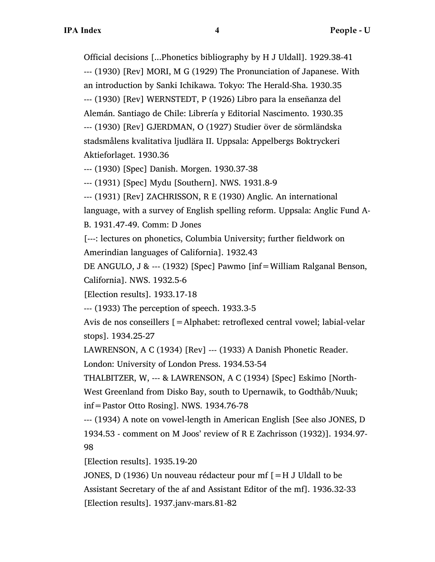Official decisions [...Phonetics bibliography by H J Uldall]. 1929.38-41 --- (1930) [Rev] MORI, M G (1929) The Pronunciation of Japanese. With an introduction by Sanki Ichikawa. Tokyo: The Herald-Sha. 1930.35 --- (1930) [Rev] WERNSTEDT, P (1926) Libro para la enseñanza del Alemán. Santiago de Chile: Librería y Editorial Nascimento. 1930.35 --- (1930) [Rev] GJERDMAN, O (1927) Studier över de sörmländska stadsmålens kvalitativa ljudlära II. Uppsala: Appelbergs Boktryckeri Aktieforlaget. 1930.36

--- (1930) [Spec] Danish. Morgen. 1930.37-38

--- (1931) [Spec] Mydu [Southern]. NWS. 1931.8-9

--- (1931) [Rev] ZACHRISSON, R E (1930) Anglic. An international language, with a survey of English spelling reform. Uppsala: Anglic Fund A-

B. 1931.47-49. Comm: D Jones

[---: lectures on phonetics, Columbia University; further fieldwork on Amerindian languages of California]. 1932.43

DE ANGULO, J & --- (1932) [Spec] Pawmo [inf=William Ralganal Benson, California]. NWS. 1932.5-6

[Election results]. 1933.17-18

--- (1933) The perception of speech. 1933.3-5

Avis de nos conseillers [=Alphabet: retroflexed central vowel; labial-velar stops]. 1934.25-27

LAWRENSON, A C (1934) [Rev] --- (1933) A Danish Phonetic Reader.

London: University of London Press. 1934.53-54

THALBITZER, W, --- & LAWRENSON, A C (1934) [Spec] Eskimo [North-West Greenland from Disko Bay, south to Upernawik, to Godthåb/Nuuk; inf=Pastor Otto Rosing]. NWS. 1934.76-78

--- (1934) A note on vowel-length in American English [See also JONES, D 1934.53 - comment on M Joos' review of R E Zachrisson (1932)]. 1934.97- 98

[Election results]. 1935.19-20

JONES, D (1936) Un nouveau rédacteur pour mf [=H J Uldall to be Assistant Secretary of the af and Assistant Editor of the mf]. 1936.32-33 [Election results]. 1937.janv-mars.81-82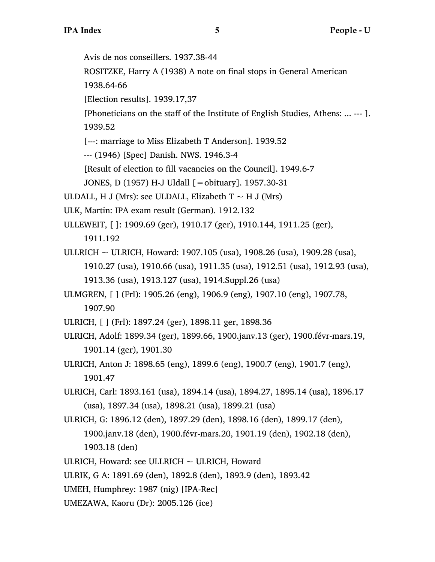Avis de nos conseillers. 1937.38-44

ROSITZKE, Harry A (1938) A note on final stops in General American

1938.64-66

[Election results]. 1939.17,37

[Phoneticians on the staff of the Institute of English Studies, Athens: ... --- ].

1939.52

[---: marriage to Miss Elizabeth T Anderson]. 1939.52

--- (1946) [Spec] Danish. NWS. 1946.3-4

[Result of election to fill vacancies on the Council]. 1949.6-7

JONES, D (1957) H-J Uldall [=obituary]. 1957.30-31

ULDALL, H J (Mrs): see ULDALL, Elizabeth  $T \sim H$  J (Mrs)

ULK, Martin: IPA exam result (German). 1912.132

ULLEWEIT, [ ]: 1909.69 (ger), 1910.17 (ger), 1910.144, 1911.25 (ger),

1911.192

ULLRICH  $\sim$  ULRICH, Howard: 1907.105 (usa), 1908.26 (usa), 1909.28 (usa), 1910.27 (usa), 1910.66 (usa), 1911.35 (usa), 1912.51 (usa), 1912.93 (usa), 1913.36 (usa), 1913.127 (usa), 1914.Suppl.26 (usa)

ULMGREN, [ ] (Frl): 1905.26 (eng), 1906.9 (eng), 1907.10 (eng), 1907.78, 1907.90

ULRICH, [ ] (Frl): 1897.24 (ger), 1898.11 ger, 1898.36

ULRICH, Adolf: 1899.34 (ger), 1899.66, 1900.janv.13 (ger), 1900.févr-mars.19, 1901.14 (ger), 1901.30

ULRICH, Anton J: 1898.65 (eng), 1899.6 (eng), 1900.7 (eng), 1901.7 (eng), 1901.47

ULRICH, Carl: 1893.161 (usa), 1894.14 (usa), 1894.27, 1895.14 (usa), 1896.17 (usa), 1897.34 (usa), 1898.21 (usa), 1899.21 (usa)

ULRICH, G: 1896.12 (den), 1897.29 (den), 1898.16 (den), 1899.17 (den), 1900.janv.18 (den), 1900.févr-mars.20, 1901.19 (den), 1902.18 (den), 1903.18 (den)

ULRICH, Howard: see ULLRICH  $\sim$  ULRICH, Howard

ULRIK, G A: 1891.69 (den), 1892.8 (den), 1893.9 (den), 1893.42

UMEH, Humphrey: 1987 (nig) [IPA-Rec]

UMEZAWA, Kaoru (Dr): 2005.126 (ice)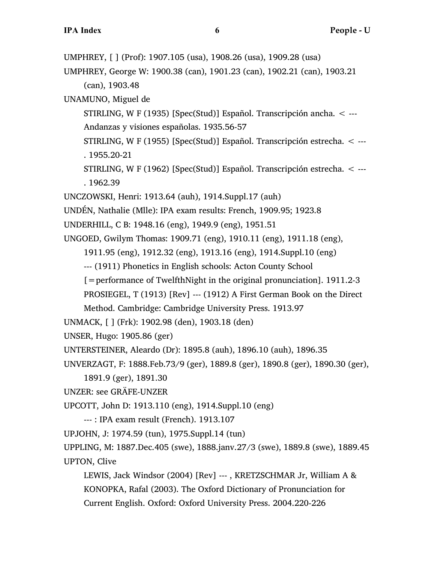UMPHREY, [ ] (Prof): 1907.105 (usa), 1908.26 (usa), 1909.28 (usa)

UMPHREY, George W: 1900.38 (can), 1901.23 (can), 1902.21 (can), 1903.21 (can), 1903.48

UNAMUNO, Miguel de

STIRLING, W F (1935) [Spec(Stud)] Español. Transcripción ancha. < --- Andanzas y visiones españolas. 1935.56-57

STIRLING, W F (1955) [Spec(Stud)] Español. Transcripción estrecha. < --- . 1955.20-21

STIRLING, W F (1962) [Spec(Stud)] Español. Transcripción estrecha. < --- . 1962.39

UNCZOWSKI, Henri: 1913.64 (auh), 1914.Suppl.17 (auh)

UNDÉN, Nathalie (Mlle): IPA exam results: French, 1909.95; 1923.8

UNDERHILL, C B: 1948.16 (eng), 1949.9 (eng), 1951.51

UNGOED, Gwilym Thomas: 1909.71 (eng), 1910.11 (eng), 1911.18 (eng),

1911.95 (eng), 1912.32 (eng), 1913.16 (eng), 1914.Suppl.10 (eng)

--- (1911) Phonetics in English schools: Acton County School

[=performance of TwelfthNight in the original pronunciation]. 1911.2-3

PROSIEGEL, T (1913) [Rev] --- (1912) A First German Book on the Direct

Method. Cambridge: Cambridge University Press. 1913.97

UNMACK, [ ] (Frk): 1902.98 (den), 1903.18 (den)

UNSER, Hugo: 1905.86 (ger)

```
UNTERSTEINER, Aleardo (Dr): 1895.8 (auh), 1896.10 (auh), 1896.35
```
UNVERZAGT, F: 1888.Feb.73/9 (ger), 1889.8 (ger), 1890.8 (ger), 1890.30 (ger),

1891.9 (ger), 1891.30

UNZER: see GRÄFE-UNZER

UPCOTT, John D: 1913.110 (eng), 1914.Suppl.10 (eng)

```
--- : IPA exam result (French). 1913.107
```
UPJOHN, J: 1974.59 (tun), 1975.Suppl.14 (tun)

UPPLING, M: 1887.Dec.405 (swe), 1888.janv.27/3 (swe), 1889.8 (swe), 1889.45 UPTON, Clive

LEWIS, Jack Windsor (2004) [Rev] --- , KRETZSCHMAR Jr, William A & KONOPKA, Rafal (2003). The Oxford Dictionary of Pronunciation for Current English. Oxford: Oxford University Press. 2004.220-226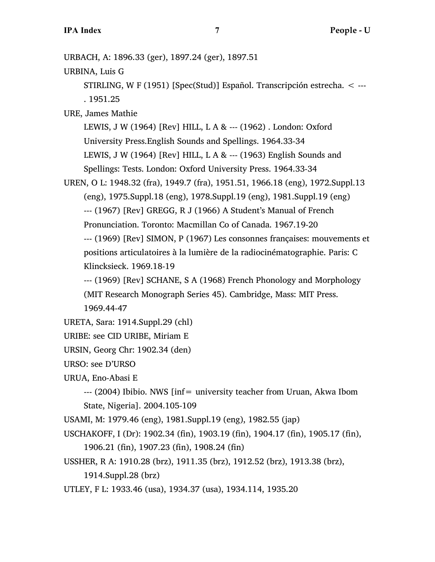URBACH, A: 1896.33 (ger), 1897.24 (ger), 1897.51

URBINA, Luis G

STIRLING, W F (1951) [Spec(Stud)] Español. Transcripción estrecha. < --- . 1951.25

URE, James Mathie

LEWIS, J W (1964) [Rev] HILL, L A & --- (1962) . London: Oxford University Press.English Sounds and Spellings. 1964.33-34 LEWIS, J W (1964) [Rev] HILL, L A  $\&$  --- (1963) English Sounds and Spellings: Tests. London: Oxford University Press. 1964.33-34

UREN, O L: 1948.32 (fra), 1949.7 (fra), 1951.51, 1966.18 (eng), 1972.Suppl.13

(eng), 1975.Suppl.18 (eng), 1978.Suppl.19 (eng), 1981.Suppl.19 (eng)

--- (1967) [Rev] GREGG, R J (1966) A Student's Manual of French

Pronunciation. Toronto: Macmillan Co of Canada. 1967.19-20

--- (1969) [Rev] SIMON, P (1967) Les consonnes françaises: mouvements et positions articulatoires à la lumière de la radiocinématographie. Paris: C Klincksieck. 1969.18-19

--- (1969) [Rev] SCHANE, S A (1968) French Phonology and Morphology (MIT Research Monograph Series 45). Cambridge, Mass: MIT Press. 1969.44-47

```
URETA, Sara: 1914.Suppl.29 (chl)
```

```
URIBE: see CID URIBE, Miriam E
```
URSIN, Georg Chr: 1902.34 (den)

URSO: see D'URSO

URUA, Eno-Abasi E

--- (2004) Ibibio. NWS [inf= university teacher from Uruan, Akwa Ibom State, Nigeria]. 2004.105-109

USAMI, M: 1979.46 (eng), 1981.Suppl.19 (eng), 1982.55 (jap)

USCHAKOFF, I (Dr): 1902.34 (fin), 1903.19 (fin), 1904.17 (fin), 1905.17 (fin),

1906.21 (fin), 1907.23 (fin), 1908.24 (fin)

USSHER, R A: 1910.28 (brz), 1911.35 (brz), 1912.52 (brz), 1913.38 (brz),

1914.Suppl.28 (brz)

UTLEY, F L: 1933.46 (usa), 1934.37 (usa), 1934.114, 1935.20